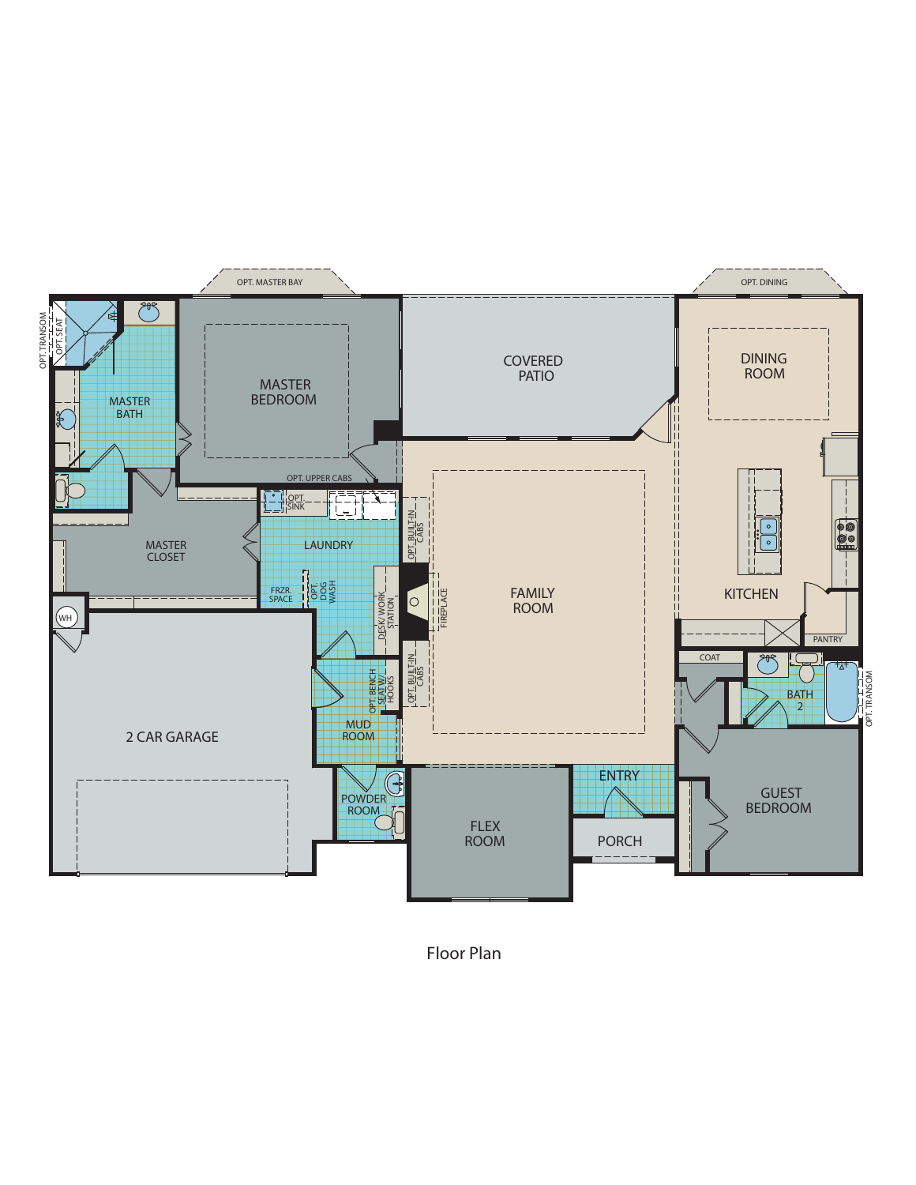

*Floor Plan*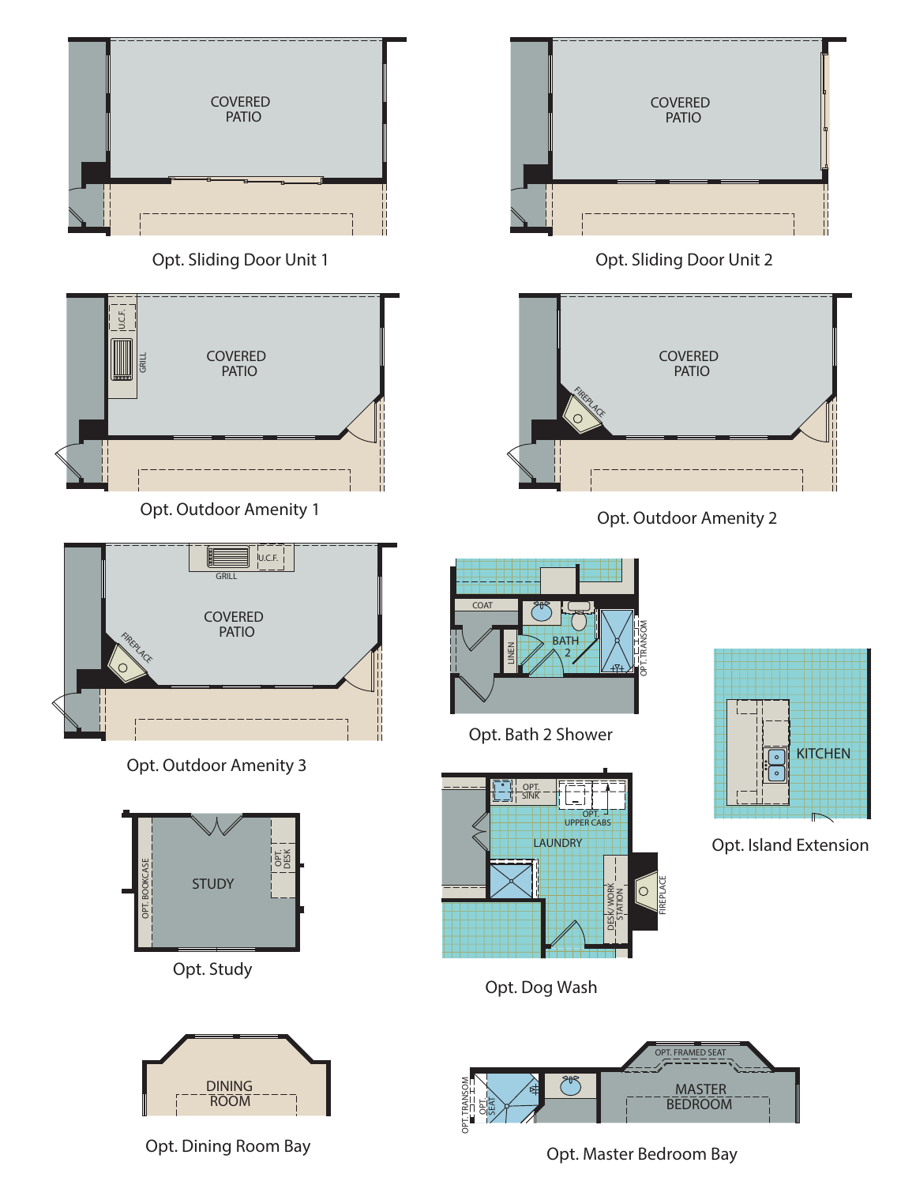



*Opt. Study*



*Opt. Dining Room Bay*



*Opt. Sliding Door Unit 2*



*Opt. Outdoor Amenity 2*



*Opt. Bath 2 Shower*



**KITCHEN**  $\circ$ 

*Opt. Island Extension*

*Opt. Dog Wash*



*Opt. Master Bedroom Bay*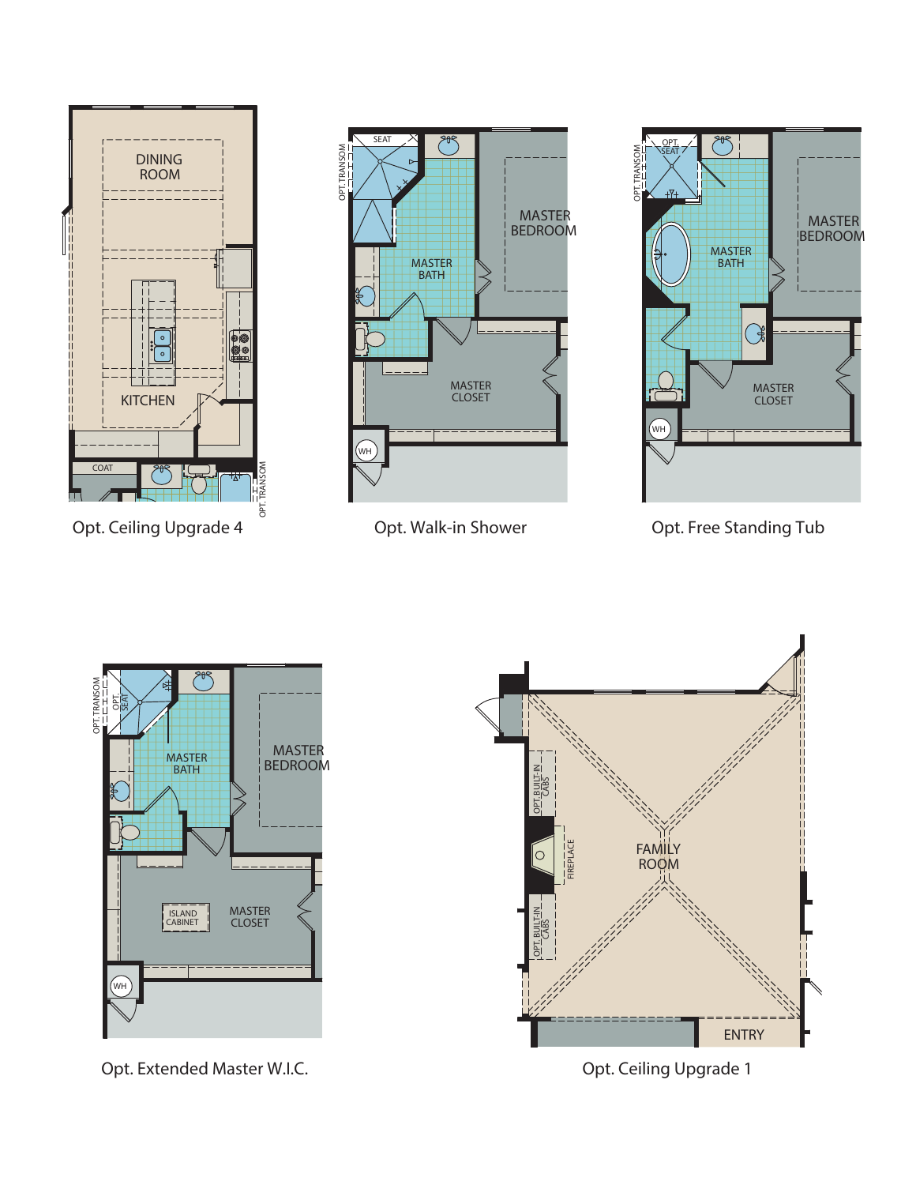

*Opt. Ceiling Upgrade 4*



*Opt. Walk-in Shower*



*Opt. Free Standing Tub*



*Opt. Extended Master W.I.C.*



*Opt. Ceiling Upgrade 1*